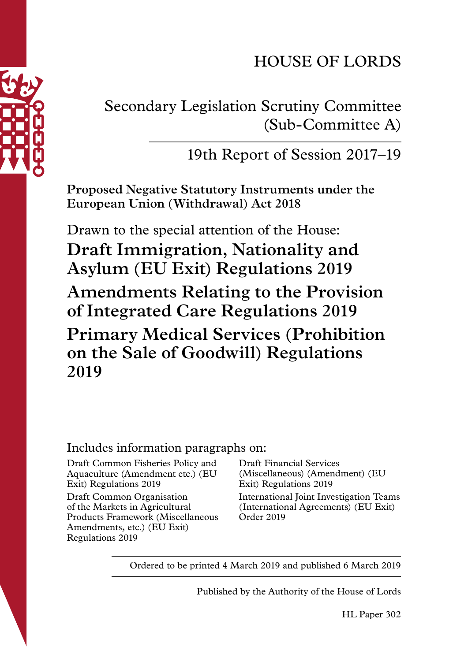# HOUSE OF LORDS



## 19th Report of Session 2017–19

**Proposed Negative Statutory Instruments under the European Union (Withdrawal) Act 2018**

Drawn to the special attention of the House:

**Draft Immigration, Nationality and Asylum (EU Exit) Regulations 2019 Amendments Relating to the Provision of Integrated Care Regulations 2019 Primary Medical Services (Prohibition on the Sale of Goodwill) Regulations 2019**

#### Includes information paragraphs on:

Draft Common Fisheries Policy and Aquaculture (Amendment etc.) (EU Exit) Regulations 2019

Draft Common Organisation of the Markets in Agricultural Products Framework (Miscellaneous Amendments, etc.) (EU Exit) Regulations 2019

Draft Financial Services (Miscellaneous) (Amendment) (EU Exit) Regulations 2019 International Joint Investigation Teams (International Agreements) (EU Exit) Order 2019

Ordered to be printed 4 March 2019 and published 6 March 2019

Published by the Authority of the House of Lords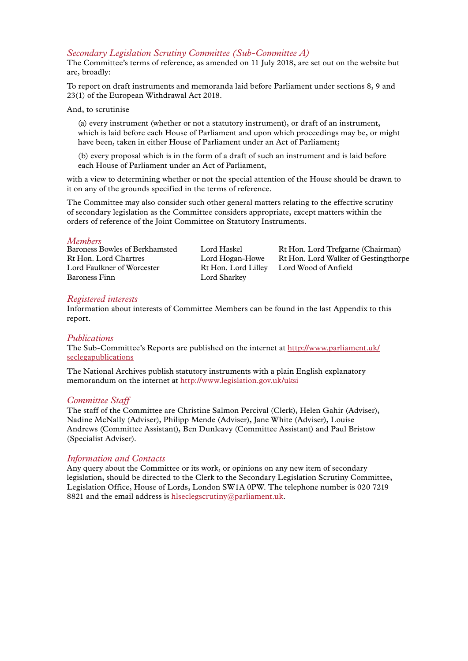#### *Secondary Legislation Scrutiny Committee (Sub-Committee A)*

The Committee's terms of reference, as amended on 11 July 2018, are set out on the website but are, broadly:

To report on draft instruments and memoranda laid before Parliament under sections 8, 9 and 23(1) of the European Withdrawal Act 2018.

And, to scrutinise –

(a) every instrument (whether or not a statutory instrument), or draft of an instrument, which is laid before each House of Parliament and upon which proceedings may be, or might have been, taken in either House of Parliament under an Act of Parliament;

(b) every proposal which is in the form of a draft of such an instrument and is laid before each House of Parliament under an Act of Parliament,

with a view to determining whether or not the special attention of the House should be drawn to it on any of the grounds specified in the terms of reference.

The Committee may also consider such other general matters relating to the effective scrutiny of secondary legislation as the Committee considers appropriate, except matters within the orders of reference of the Joint Committee on Statutory Instruments.

*Members* Lord Faulkner of Worcester Rt Hon. Lord Lilley Lord Wood of Anfield Baroness Finn Lord Sharkey

Lord Haskel Rt Hon. Lord Trefgarne (Chairman) Rt Hon. Lord Chartres Lord Hogan-Howe Rt Hon. Lord Walker of Gestingthorpe

#### *Registered interests*

Information about interests of Committee Members can be found in the last Appendix to this report.

#### *Publications*

The Sub-Committee's Reports are published on the internet at [http://www.parliament.uk/](http://www.parliament.uk/seclegapublications) [seclegapublications](http://www.parliament.uk/seclegapublications)

The National Archives publish statutory instruments with a plain English explanatory memorandum on the internet at<http://www.legislation.gov.uk/uksi>

#### *Committee Staff*

The staff of the Committee are Christine Salmon Percival (Clerk), Helen Gahir (Adviser), Nadine McNally (Adviser), Philipp Mende (Adviser), Jane White (Adviser), Louise Andrews (Committee Assistant), Ben Dunleavy (Committee Assistant) and Paul Bristow (Specialist Adviser).

#### *Information and Contacts*

Any query about the Committee or its work, or opinions on any new item of secondary legislation, should be directed to the Clerk to the Secondary Legislation Scrutiny Committee, Legislation Office, House of Lords, London SW1A 0PW. The telephone number is 020 7219 8821 and the email address is [hlseclegscrutiny@parliament.uk](mailto:hlseclegscrutiny%40parliament.uk?subject=).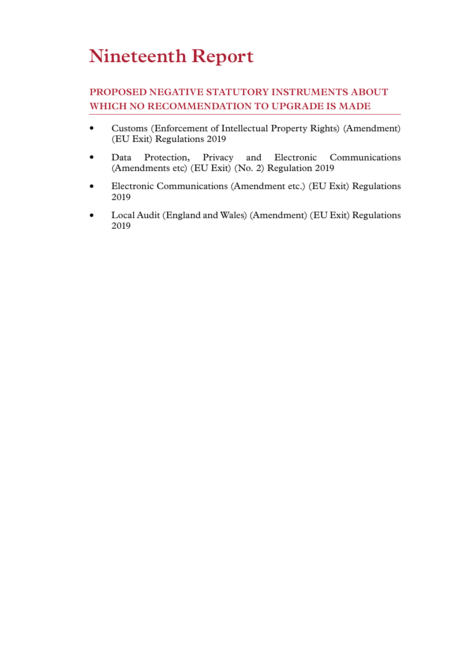# **Nineteenth Report**

### **PROPOSED NEGATIVE STATUTORY INSTRUMENTS ABOUT WHICH NO RECOMMENDATION TO UPGRADE IS MADE**

- Customs (Enforcement of Intellectual Property Rights) (Amendment) (EU Exit) Regulations 2019
- Data Protection, Privacy and Electronic Communications (Amendments etc) (EU Exit) (No. 2) Regulation 2019
- Electronic Communications (Amendment etc.) (EU Exit) Regulations 2019
- Local Audit (England and Wales) (Amendment) (EU Exit) Regulations 2019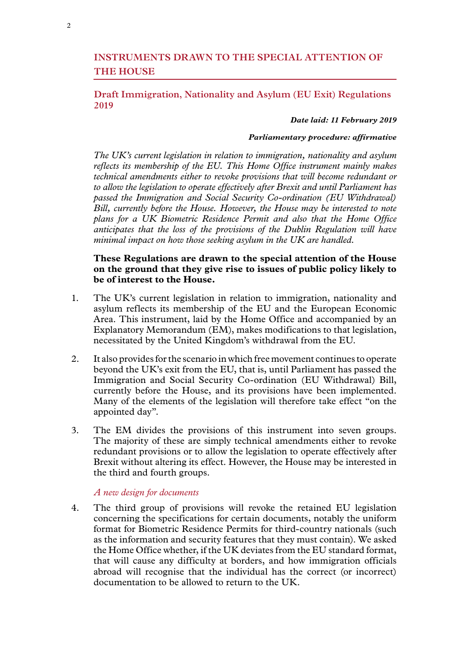#### **INSTRUMENTS DRAWN TO THE SPECIAL ATTENTION OF THE HOUSE**

#### **Draft Immigration, Nationality and Asylum (EU Exit) Regulations 2019**

#### *Date laid: 11 February 2019*

#### *Parliamentary procedure: affirmative*

*The UK's current legislation in relation to immigration, nationality and asylum reflects its membership of the EU. This Home Office instrument mainly makes technical amendments either to revoke provisions that will become redundant or to allow the legislation to operate effectively after Brexit and until Parliament has passed the Immigration and Social Security Co-ordination (EU Withdrawal) Bill, currently before the House. However, the House may be interested to note plans for a UK Biometric Residence Permit and also that the Home Office anticipates that the loss of the provisions of the Dublin Regulation will have minimal impact on how those seeking asylum in the UK are handled.* 

#### **These Regulations are drawn to the special attention of the House on the ground that they give rise to issues of public policy likely to be of interest to the House.**

- 1. The UK's current legislation in relation to immigration, nationality and asylum reflects its membership of the EU and the European Economic Area. This instrument, laid by the Home Office and accompanied by an Explanatory Memorandum (EM), makes modifications to that legislation, necessitated by the United Kingdom's withdrawal from the EU.
- 2. It also provides for the scenario in which free movement continues to operate beyond the UK's exit from the EU, that is, until Parliament has passed the Immigration and Social Security Co-ordination (EU Withdrawal) Bill, currently before the House, and its provisions have been implemented. Many of the elements of the legislation will therefore take effect "on the appointed day".
- 3. The EM divides the provisions of this instrument into seven groups. The majority of these are simply technical amendments either to revoke redundant provisions or to allow the legislation to operate effectively after Brexit without altering its effect. However, the House may be interested in the third and fourth groups.

#### *A new design for documents*

4. The third group of provisions will revoke the retained EU legislation concerning the specifications for certain documents, notably the uniform format for Biometric Residence Permits for third-country nationals (such as the information and security features that they must contain). We asked the Home Office whether, if the UK deviates from the EU standard format, that will cause any difficulty at borders, and how immigration officials abroad will recognise that the individual has the correct (or incorrect) documentation to be allowed to return to the UK.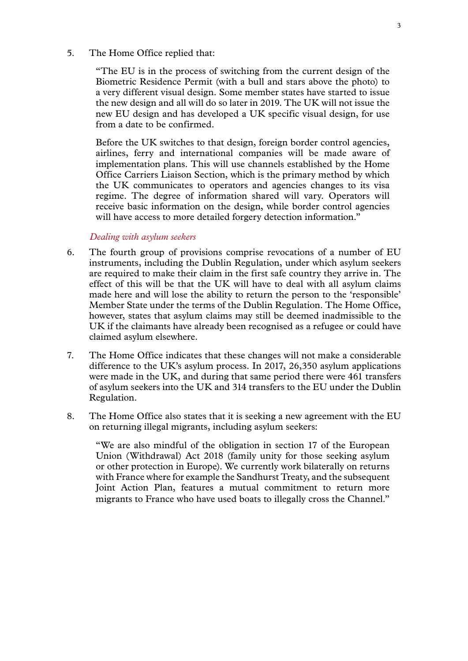#### 5. The Home Office replied that:

"The EU is in the process of switching from the current design of the Biometric Residence Permit (with a bull and stars above the photo) to a very different visual design. Some member states have started to issue the new design and all will do so later in 2019. The UK will not issue the new EU design and has developed a UK specific visual design, for use from a date to be confirmed.

Before the UK switches to that design, foreign border control agencies, airlines, ferry and international companies will be made aware of implementation plans. This will use channels established by the Home Office Carriers Liaison Section, which is the primary method by which the UK communicates to operators and agencies changes to its visa regime. The degree of information shared will vary. Operators will receive basic information on the design, while border control agencies will have access to more detailed forgery detection information."

#### *Dealing with asylum seekers*

- 6. The fourth group of provisions comprise revocations of a number of EU instruments, including the Dublin Regulation, under which asylum seekers are required to make their claim in the first safe country they arrive in. The effect of this will be that the UK will have to deal with all asylum claims made here and will lose the ability to return the person to the 'responsible' Member State under the terms of the Dublin Regulation. The Home Office, however, states that asylum claims may still be deemed inadmissible to the UK if the claimants have already been recognised as a refugee or could have claimed asylum elsewhere.
- 7. The Home Office indicates that these changes will not make a considerable difference to the UK's asylum process. In 2017, 26,350 asylum applications were made in the UK, and during that same period there were 461 transfers of asylum seekers into the UK and 314 transfers to the EU under the Dublin Regulation.
- 8. The Home Office also states that it is seeking a new agreement with the EU on returning illegal migrants, including asylum seekers:

"We are also mindful of the obligation in section 17 of the European Union (Withdrawal) Act 2018 (family unity for those seeking asylum or other protection in Europe). We currently work bilaterally on returns with France where for example the Sandhurst Treaty, and the subsequent Joint Action Plan, features a mutual commitment to return more migrants to France who have used boats to illegally cross the Channel."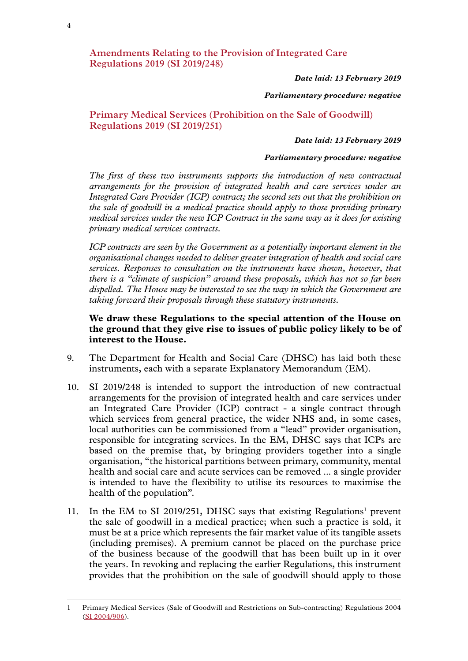**Amendments Relating to the Provision of Integrated Care Regulations 2019 (SI 2019/248)**

*Date laid: 13 February 2019*

#### *Parliamentary procedure: negative*

#### **Primary Medical Services (Prohibition on the Sale of Goodwill) Regulations 2019 ([SI 2019/251](http://www.legislation.gov.uk/uksi/2019/251/contents/made))**

#### *Date laid: 13 February 2019*

#### *Parliamentary procedure: negative*

*The first of these two instruments supports the introduction of new contractual arrangements for the provision of integrated health and care services under an Integrated Care Provider (ICP) contract; the second sets out that the prohibition on the sale of goodwill in a medical practice should apply to those providing primary medical services under the new ICP Contract in the same way as it does for existing primary medical services contracts.*

*ICP contracts are seen by the Government as a potentially important element in the organisational changes needed to deliver greater integration of health and social care services. Responses to consultation on the instruments have shown, however, that there is a "climate of suspicion" around these proposals, which has not so far been dispelled. The House may be interested to see the way in which the Government are taking forward their proposals through these statutory instruments.*

#### **We draw these Regulations to the special attention of the House on the ground that they give rise to issues of public policy likely to be of interest to the House.**

- 9. The Department for Health and Social Care (DHSC) has laid both these instruments, each with a separate Explanatory Memorandum (EM).
- 10. SI 2019/248 is intended to support the introduction of new contractual arrangements for the provision of integrated health and care services under an Integrated Care Provider (ICP) contract - a single contract through which services from general practice, the wider NHS and, in some cases, local authorities can be commissioned from a "lead" provider organisation, responsible for integrating services. In the EM, DHSC says that ICPs are based on the premise that, by bringing providers together into a single organisation, "the historical partitions between primary, community, mental health and social care and acute services can be removed ... a single provider is intended to have the flexibility to utilise its resources to maximise the health of the population".
- 11. In the EM to SI 2019/251, DHSC says that existing Regulations<sup>1</sup> prevent the sale of goodwill in a medical practice; when such a practice is sold, it must be at a price which represents the fair market value of its tangible assets (including premises). A premium cannot be placed on the purchase price of the business because of the goodwill that has been built up in it over the years. In revoking and replacing the earlier Regulations, this instrument provides that the prohibition on the sale of goodwill should apply to those

<sup>1</sup> Primary Medical Services (Sale of Goodwill and Restrictions on Sub-contracting) Regulations 2004 [\(SI 2004/906](http://www.legislation.gov.uk/uksi/2004/906/contents/made)).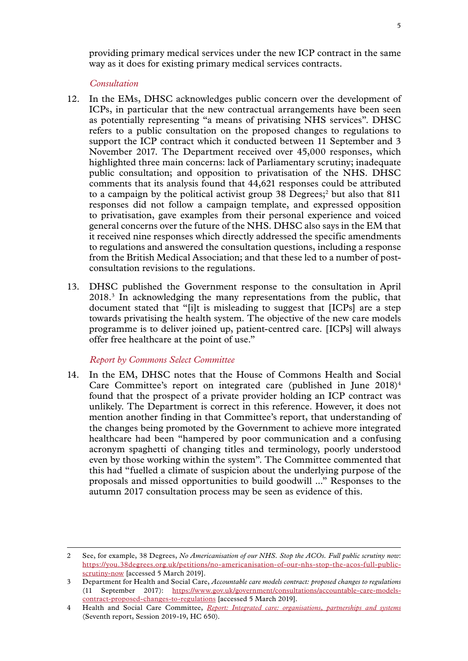providing primary medical services under the new ICP contract in the same way as it does for existing primary medical services contracts.

*Consultation*

- 12. In the EMs, DHSC acknowledges public concern over the development of ICPs, in particular that the new contractual arrangements have been seen as potentially representing "a means of privatising NHS services". DHSC refers to a public consultation on the proposed changes to regulations to support the ICP contract which it conducted between 11 September and 3 November 2017. The Department received over 45,000 responses, which highlighted three main concerns: lack of Parliamentary scrutiny; inadequate public consultation; and opposition to privatisation of the NHS. DHSC comments that its analysis found that 44,621 responses could be attributed to a campaign by the political activist group  $38$  Degrees;<sup>2</sup> but also that  $811$ responses did not follow a campaign template, and expressed opposition to privatisation, gave examples from their personal experience and voiced general concerns over the future of the NHS. DHSC also says in the EM that it received nine responses which directly addressed the specific amendments to regulations and answered the consultation questions, including a response from the British Medical Association; and that these led to a number of postconsultation revisions to the regulations.
- 13. DHSC published the Government response to the consultation in April 2018.3 In acknowledging the many representations from the public, that document stated that "[i]t is misleading to suggest that [ICPs] are a step towards privatising the health system. The objective of the new care models programme is to deliver joined up, patient-centred care. [ICPs] will always offer free healthcare at the point of use."

#### *Report by Commons Select Committee*

14. In the EM, DHSC notes that the House of Commons Health and Social Care Committee's report on integrated care (published in June  $2018)^4$ ) found that the prospect of a private provider holding an ICP contract was unlikely. The Department is correct in this reference. However, it does not mention another finding in that Committee's report, that understanding of the changes being promoted by the Government to achieve more integrated healthcare had been "hampered by poor communication and a confusing acronym spaghetti of changing titles and terminology, poorly understood even by those working within the system". The Committee commented that this had "fuelled a climate of suspicion about the underlying purpose of the proposals and missed opportunities to build goodwill ..." Responses to the autumn 2017 consultation process may be seen as evidence of this.

<sup>2</sup> See, for example, 38 Degrees, *No Americanisation of our NHS. Stop the ACOs. Full public scrutiny now*: [https://you.38degrees.org.uk/petitions/no-americanisation-of-our-nhs-stop-the-acos-full-public](https://you.38degrees.org.uk/petitions/no-americanisation-of-our-nhs-stop-the-acos-full-public-scrutiny-now)[scrutiny-now](https://you.38degrees.org.uk/petitions/no-americanisation-of-our-nhs-stop-the-acos-full-public-scrutiny-now) [accessed 5 March 2019].

<sup>3</sup> Department for Health and Social Care, *Accountable care models contract: proposed changes to regulations* (11 September 2017): [https://www.gov.uk/government/consultations/accountable-care-models](https://www.gov.uk/government/consultations/accountable-care-models-contract-proposed-changes-to-regulations)[contract-proposed-changes-to-regulations](https://www.gov.uk/government/consultations/accountable-care-models-contract-proposed-changes-to-regulations) [accessed 5 March 2019].

<sup>4</sup> Health and Social Care Committee, *[Report: Integrated care: organisations, partnerships and systems](https://www.parliament.uk/business/committees/committees-a-z/commons-select/health-committee/inquiries/parliament-2017/inquiry4/)* (Seventh report, Session 2019-19, HC 650).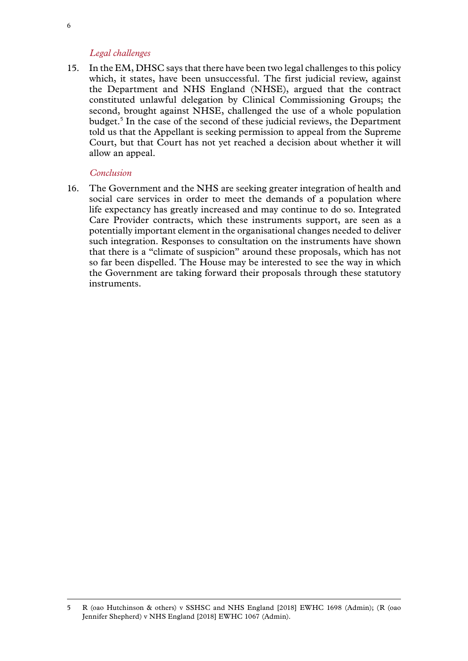#### *Legal challenges*

15. In the EM, DHSC says that there have been two legal challenges to this policy which, it states, have been unsuccessful. The first judicial review, against the Department and NHS England (NHSE), argued that the contract constituted unlawful delegation by Clinical Commissioning Groups; the second, brought against NHSE, challenged the use of a whole population budget.5 In the case of the second of these judicial reviews, the Department told us that the Appellant is seeking permission to appeal from the Supreme Court, but that Court has not yet reached a decision about whether it will allow an appeal.

#### *Conclusion*

16. The Government and the NHS are seeking greater integration of health and social care services in order to meet the demands of a population where life expectancy has greatly increased and may continue to do so. Integrated Care Provider contracts, which these instruments support, are seen as a potentially important element in the organisational changes needed to deliver such integration. Responses to consultation on the instruments have shown that there is a "climate of suspicion" around these proposals, which has not so far been dispelled. The House may be interested to see the way in which the Government are taking forward their proposals through these statutory instruments.

<sup>5</sup> R (oao Hutchinson & others) v SSHSC and NHS England [2018] EWHC 1698 (Admin); (R (oao Jennifer Shepherd) v NHS England [2018] EWHC 1067 (Admin).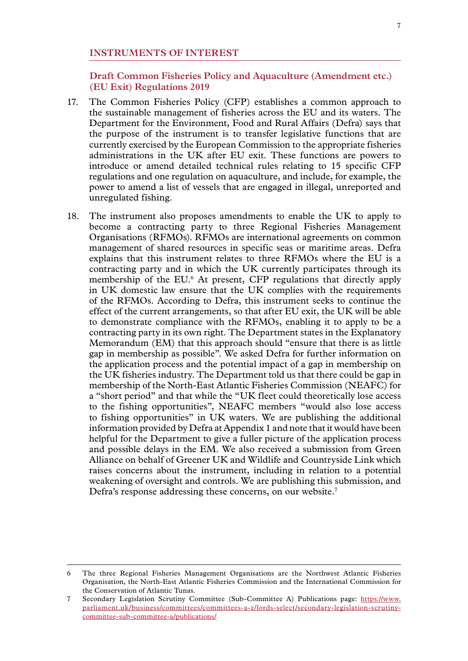#### **INSTRUMENTS OF INTEREST**

**Draft Common Fisheries Policy and Aquaculture (Amendment etc.) (EU Exit) Regulations 2019**

- 17. The Common Fisheries Policy (CFP) establishes a common approach to the sustainable management of fisheries across the EU and its waters. The Department for the Environment, Food and Rural Affairs (Defra) says that the purpose of the instrument is to transfer legislative functions that are currently exercised by the European Commission to the appropriate fisheries administrations in the UK after EU exit. These functions are powers to introduce or amend detailed technical rules relating to 15 specific CFP regulations and one regulation on aquaculture, and include, for example, the power to amend a list of vessels that are engaged in illegal, unreported and unregulated fishing.
- 18. The instrument also proposes amendments to enable the UK to apply to become a contracting party to three Regional Fisheries Management Organisations (RFMOs). RFMOs are international agreements on common management of shared resources in specific seas or maritime areas. Defra explains that this instrument relates to three RFMOs where the EU is a contracting party and in which the UK currently participates through its membership of the EU.<sup>6</sup> At present, CFP regulations that directly apply in UK domestic law ensure that the UK complies with the requirements of the RFMOs. According to Defra, this instrument seeks to continue the effect of the current arrangements, so that after EU exit, the UK will be able to demonstrate compliance with the RFMOs, enabling it to apply to be a contracting party in its own right. The Department states in the Explanatory Memorandum (EM) that this approach should "ensure that there is as little gap in membership as possible". We asked Defra for further information on the application process and the potential impact of a gap in membership on the UK fisheries industry. The Department told us that there could be gap in membership of the North-East Atlantic Fisheries Commission (NEAFC) for a "short period" and that while the "UK fleet could theoretically lose access to the fishing opportunities", NEAFC members "would also lose access to fishing opportunities" in UK waters. We are publishing the additional information provided by Defra at Appendix 1 and note that it would have been helpful for the Department to give a fuller picture of the application process and possible delays in the EM. We also received a submission from Green Alliance on behalf of Greener UK and Wildlife and Countryside Link which raises concerns about the instrument, including in relation to a potential weakening of oversight and controls. We are publishing this submission, and Defra's response addressing these concerns, on our website.<sup>7</sup>

<sup>6</sup> The three Regional Fisheries Management Organisations are the Northwest Atlantic Fisheries Organisation, the North-East Atlantic Fisheries Commission and the International Commission for the Conservation of Atlantic Tunas.

<sup>7</sup> Secondary Legislation Scrutiny Committee (Sub-Committee A) Publications page: [https://www.](https://www.parliament.uk/business/committees/committees-a-z/lords-select/secondary-legislation-scrutiny-committee-sub-committee-a/publications/) [parliament.uk/business/committees/committees-a-z/lords-select/secondary-legislation-scrutiny](https://www.parliament.uk/business/committees/committees-a-z/lords-select/secondary-legislation-scrutiny-committee-sub-committee-a/publications/)[committee-sub-committee-a/publications/](https://www.parliament.uk/business/committees/committees-a-z/lords-select/secondary-legislation-scrutiny-committee-sub-committee-a/publications/)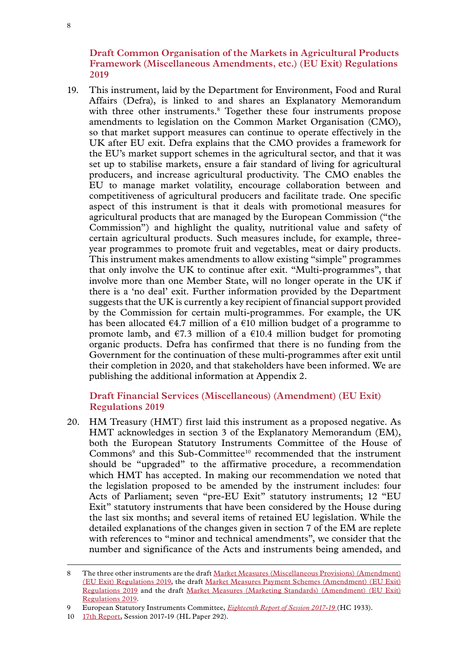**Draft Common Organisation of the Markets in Agricultural Products Framework (Miscellaneous Amendments, etc.) (EU Exit) Regulations 2019**

19. This instrument, laid by the Department for Environment, Food and Rural Affairs (Defra), is linked to and shares an Explanatory Memorandum with three other instruments.<sup>8</sup> Together these four instruments propose amendments to legislation on the Common Market Organisation (CMO), so that market support measures can continue to operate effectively in the UK after EU exit. Defra explains that the CMO provides a framework for the EU's market support schemes in the agricultural sector, and that it was set up to stabilise markets, ensure a fair standard of living for agricultural producers, and increase agricultural productivity. The CMO enables the EU to manage market volatility, encourage collaboration between and competitiveness of agricultural producers and facilitate trade. One specific aspect of this instrument is that it deals with promotional measures for agricultural products that are managed by the European Commission ("the Commission") and highlight the quality, nutritional value and safety of certain agricultural products. Such measures include, for example, threeyear programmes to promote fruit and vegetables, meat or dairy products. This instrument makes amendments to allow existing "simple" programmes that only involve the UK to continue after exit. "Multi-programmes", that involve more than one Member State, will no longer operate in the UK if there is a 'no deal' exit. Further information provided by the Department suggests that the UK is currently a key recipient of financial support provided by the Commission for certain multi-programmes. For example, the UK has been allocated  $\epsilon$ 4.7 million of a  $\epsilon$ 10 million budget of a programme to promote lamb, and  $\epsilon$ 7.3 million of a  $\epsilon$ 10.4 million budget for promoting organic products. Defra has confirmed that there is no funding from the Government for the continuation of these multi-programmes after exit until their completion in 2020, and that stakeholders have been informed. We are publishing the additional information at Appendix 2.

#### **Draft Financial Services (Miscellaneous) (Amendment) (EU Exit) Regulations 2019**

20. HM Treasury (HMT) first laid this instrument as a proposed negative. As HMT acknowledges in section 3 of the Explanatory Memorandum (EM), both the European Statutory Instruments Committee of the House of Commons<sup>9</sup> and this Sub-Committee<sup>10</sup> recommended that the instrument should be "upgraded" to the affirmative procedure, a recommendation which HMT has accepted. In making our recommendation we noted that the legislation proposed to be amended by the instrument includes: four Acts of Parliament; seven "pre-EU Exit" statutory instruments; 12 "EU Exit" statutory instruments that have been considered by the House during the last six months; and several items of retained EU legislation. While the detailed explanations of the changes given in section 7 of the EM are replete with references to "minor and technical amendments", we consider that the number and significance of the Acts and instruments being amended, and

<sup>8</sup> The three other instruments are the draft [Market Measures \(Miscellaneous Provisions\) \(Amendment\)](http://www.legislation.gov.uk/ukdsi/2019/9780111181126/contents) [\(EU Exit\) Regulations 2019,](http://www.legislation.gov.uk/ukdsi/2019/9780111181126/contents) the draft [Market Measures Payment Schemes \(Amendment\) \(EU Exit\)](http://www.legislation.gov.uk/ukdsi/2019/9780111181119/contents) [Regulations 2019](http://www.legislation.gov.uk/ukdsi/2019/9780111181119/contents) and the draft [Market Measures \(Marketing Standards\) \(Amendment\) \(EU Exit\)](http://www.legislation.gov.uk/ukdsi/2019/9780111181102/contents) [Regulations 2019.](http://www.legislation.gov.uk/ukdsi/2019/9780111181102/contents)

<sup>9</sup> European Statutory Instruments Committee, *[Eighteenth Report of Session 2017-19](https://publications.parliament.uk/pa/cm201719/cmselect/cmesic/1933/1933.pdf)* (HC 1933).

<sup>10</sup> [17th Report,](https://publications.parliament.uk/pa/ld201719/ldselect/ldseclega/292/292.pdf) Session 2017-19 (HL Paper 292).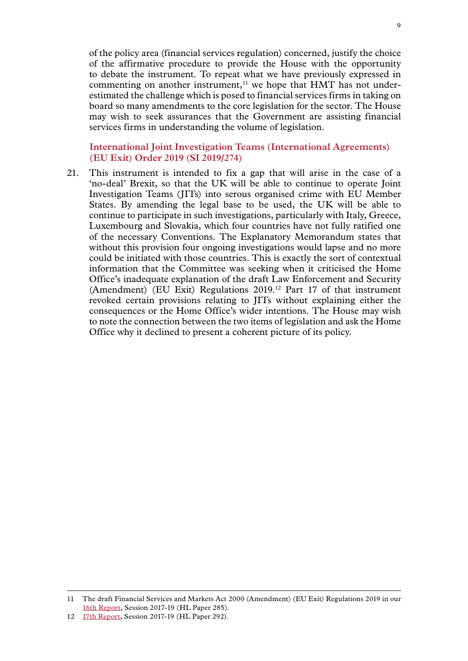of the policy area (financial services regulation) concerned, justify the choice of the affirmative procedure to provide the House with the opportunity to debate the instrument. To repeat what we have previously expressed in commenting on another instrument, $11$  we hope that HMT has not underestimated the challenge which is posed to financial services firms in taking on board so many amendments to the core legislation for the sector. The House may wish to seek assurances that the Government are assisting financial services firms in understanding the volume of legislation.

**International Joint Investigation Teams (International Agreements) (EU Exit) Order 2019 (SI 2019/274)**

21. This instrument is intended to fix a gap that will arise in the case of a 'no-deal' Brexit, so that the UK will be able to continue to operate Joint Investigation Teams (JITs) into serous organised crime with EU Member States. By amending the legal base to be used, the UK will be able to continue to participate in such investigations, particularly with Italy, Greece, Luxembourg and Slovakia, which four countries have not fully ratified one of the necessary Conventions. The Explanatory Memorandum states that without this provision four ongoing investigations would lapse and no more could be initiated with those countries. This is exactly the sort of contextual information that the Committee was seeking when it criticised the Home Office's inadequate explanation of the draft Law Enforcement and Security (Amendment) (EU Exit) Regulations 2019.12 Part 17 of that instrument revoked certain provisions relating to JITs without explaining either the consequences or the Home Office's wider intentions. The House may wish to note the connection between the two items of legislation and ask the Home Office why it declined to present a coherent picture of its policy.

<sup>11</sup> The draft Financial Services and Markets Act 2000 (Amendment) (EU Exit) Regulations 2019 in our [16th Report](https://publications.parliament.uk/pa/ld201719/ldselect/ldseclega/285/285.pdf), Session 2017-19 (HL Paper 285).

<sup>12</sup> [17th Report,](https://publications.parliament.uk/pa/ld201719/ldselect/ldseclega/292/292.pdf) Session 2017-19 (HL Paper 292).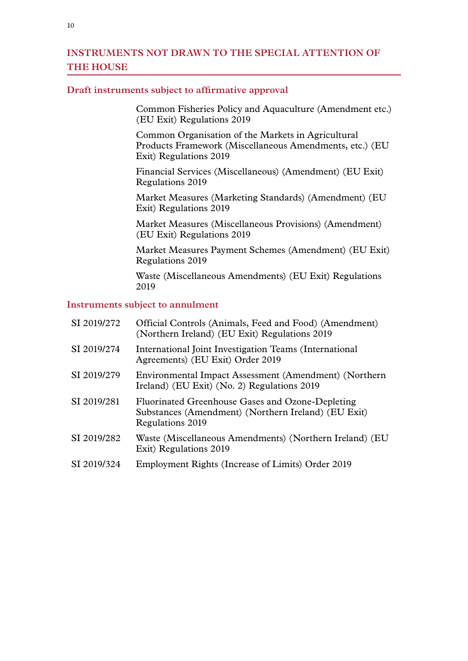#### **INSTRUMENTS NOT DRAWN TO THE SPECIAL ATTENTION OF THE HOUSE**

#### **Draft instruments subject to affirmative approval**

Common Fisheries Policy and Aquaculture (Amendment etc.) (EU Exit) Regulations 2019

Common Organisation of the Markets in Agricultural Products Framework (Miscellaneous Amendments, etc.) (EU Exit) Regulations 2019

Financial Services (Miscellaneous) (Amendment) (EU Exit) Regulations 2019

Market Measures (Marketing Standards) (Amendment) (EU Exit) Regulations 2019

Market Measures (Miscellaneous Provisions) (Amendment) (EU Exit) Regulations 2019

Market Measures Payment Schemes (Amendment) (EU Exit) Regulations 2019

Waste (Miscellaneous Amendments) (EU Exit) Regulations 2019

#### **Instruments subject to annulment**

| SI 2019/272 | Official Controls (Animals, Feed and Food) (Amendment)<br>(Northern Ireland) (EU Exit) Regulations 2019                     |
|-------------|-----------------------------------------------------------------------------------------------------------------------------|
| SI 2019/274 | International Joint Investigation Teams (International<br>Agreements) (EU Exit) Order 2019                                  |
| SI 2019/279 | Environmental Impact Assessment (Amendment) (Northern<br>Ireland) (EU Exit) (No. 2) Regulations 2019                        |
| SI 2019/281 | Fluorinated Greenhouse Gases and Ozone-Depleting<br>Substances (Amendment) (Northern Ireland) (EU Exit)<br>Regulations 2019 |
| SI 2019/282 | Waste (Miscellaneous Amendments) (Northern Ireland) (EU<br>Exit) Regulations 2019                                           |
| SI 2019/324 | Employment Rights (Increase of Limits) Order 2019                                                                           |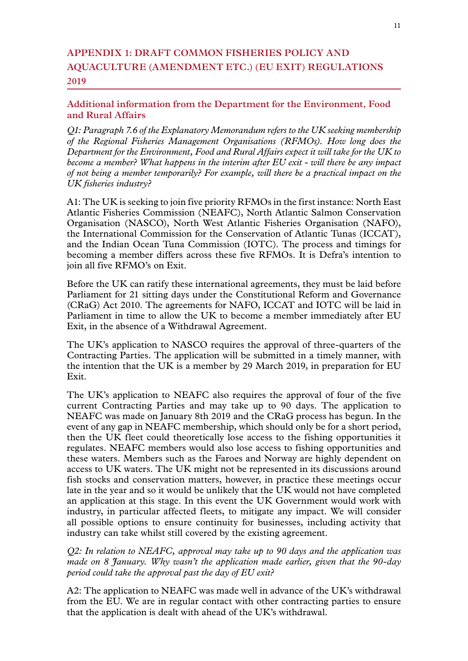#### **Appendix 1: DRAFT COMMON FISHERIES POLICY AND AQUACULTURE (AMENDMENT ETC.) (EU EXIT) REGULATIONS 2019**

#### **Additional information from the Department for the Environment, Food and Rural Affairs**

*Q1: Paragraph 7.6 of the Explanatory Memorandum refers to the UK seeking membership of the Regional Fisheries Management Organisations (RFMOs). How long does the Department for the Environment, Food and Rural Affairs expect it will take for the UK to become a member? What happens in the interim after EU exit - will there be any impact of not being a member temporarily? For example, will there be a practical impact on the UK fisheries industry?*

A1: The UK is seeking to join five priority RFMOs in the first instance: North East Atlantic Fisheries Commission (NEAFC), North Atlantic Salmon Conservation Organisation (NASCO), North West Atlantic Fisheries Organisation (NAFO), the International Commission for the Conservation of Atlantic Tunas (ICCAT), and the Indian Ocean Tuna Commission (IOTC). The process and timings for becoming a member differs across these five RFMOs. It is Defra's intention to join all five RFMO's on Exit.

Before the UK can ratify these international agreements, they must be laid before Parliament for 21 sitting days under the Constitutional Reform and Governance (CRaG) Act 2010. The agreements for NAFO, ICCAT and IOTC will be laid in Parliament in time to allow the UK to become a member immediately after EU Exit, in the absence of a Withdrawal Agreement.

The UK's application to NASCO requires the approval of three-quarters of the Contracting Parties. The application will be submitted in a timely manner, with the intention that the UK is a member by 29 March 2019, in preparation for EU Exit.

The UK's application to NEAFC also requires the approval of four of the five current Contracting Parties and may take up to 90 days. The application to NEAFC was made on January 8th 2019 and the CRaG process has begun. In the event of any gap in NEAFC membership, which should only be for a short period, then the UK fleet could theoretically lose access to the fishing opportunities it regulates. NEAFC members would also lose access to fishing opportunities and these waters. Members such as the Faroes and Norway are highly dependent on access to UK waters. The UK might not be represented in its discussions around fish stocks and conservation matters, however, in practice these meetings occur late in the year and so it would be unlikely that the UK would not have completed an application at this stage. In this event the UK Government would work with industry, in particular affected fleets, to mitigate any impact. We will consider all possible options to ensure continuity for businesses, including activity that industry can take whilst still covered by the existing agreement.

*Q2: In relation to NEAFC, approval may take up to 90 days and the application was made on 8 January. Why wasn't the application made earlier, given that the 90-day period could take the approval past the day of EU exit?* 

A2: The application to NEAFC was made well in advance of the UK's withdrawal from the EU. We are in regular contact with other contracting parties to ensure that the application is dealt with ahead of the UK's withdrawal.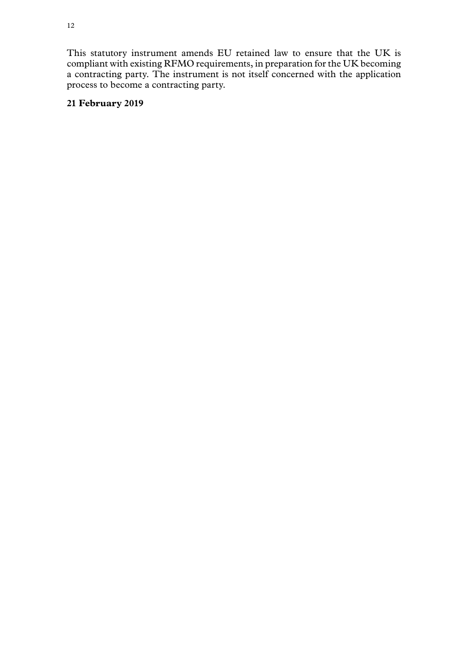This statutory instrument amends EU retained law to ensure that the UK is compliant with existing RFMO requirements, in preparation for the UK becoming a contracting party. The instrument is not itself concerned with the application process to become a contracting party.

#### **21 February 2019**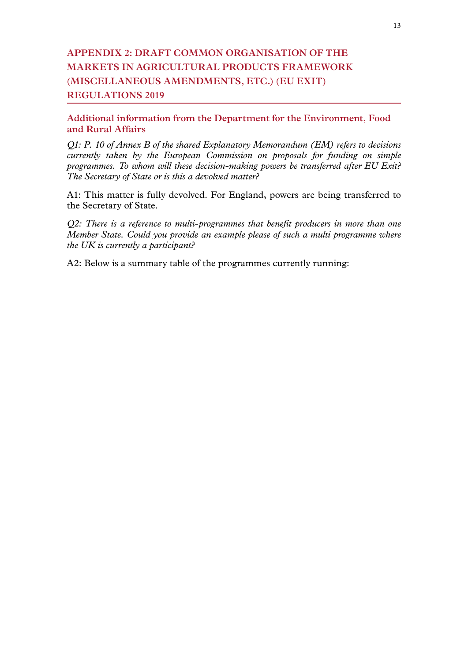### **Appendix 2: DRAFT COMMON ORGANISATION OF THE MARKETS IN AGRICULTURAL PRODUCTS FRAMEWORK (MISCELLANEOUS AMENDMENTS, ETC.) (EU EXIT) REGULATIONS 2019**

#### **Additional information from the Department for the Environment, Food and Rural Affairs**

*Q1: P. 10 of Annex B of the shared Explanatory Memorandum (EM) refers to decisions currently taken by the European Commission on proposals for funding on simple programmes. To whom will these decision-making powers be transferred after EU Exit? The Secretary of State or is this a devolved matter?* 

A1: This matter is fully devolved. For England, powers are being transferred to the Secretary of State.

*Q2: There is a reference to multi-programmes that benefit producers in more than one Member State. Could you provide an example please of such a multi programme where the UK is currently a participant?* 

A2: Below is a summary table of the programmes currently running: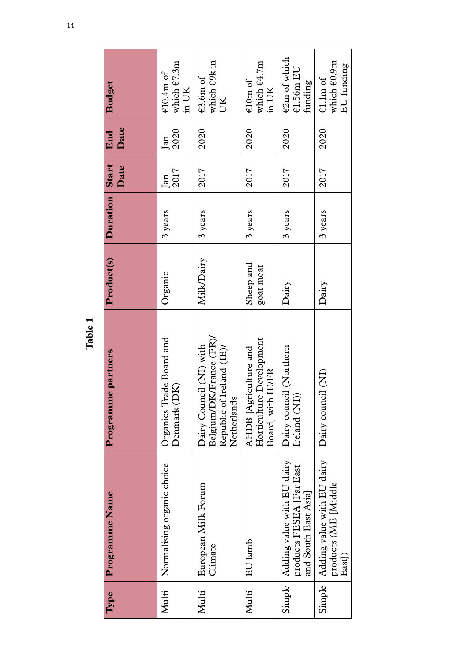| <b>Budget</b>      | which €7.3m<br>$\epsilon$ 10.4m of<br>in UK | which €9k in<br>€3.6m of<br><b>ZID</b>                                                         | which $64.7m$<br>$\epsilon$ 10m of<br>in UK                            | $\epsilon$ 2m of which<br>$E1.56m$ EU<br>funding                               | which $\epsilon$ 0.9m<br>EU funding<br>$\epsilon$ 1.1m of             |
|--------------------|---------------------------------------------|------------------------------------------------------------------------------------------------|------------------------------------------------------------------------|--------------------------------------------------------------------------------|-----------------------------------------------------------------------|
| Date<br>End        | 2020<br>Jan                                 | 2020                                                                                           | 2020                                                                   | 2020                                                                           | 2020                                                                  |
| Date               | 2017<br>Jan                                 | 2017                                                                                           | 2017                                                                   | 2017                                                                           | 2017                                                                  |
| Duration Start     | 3 years                                     | 3 years                                                                                        | 3 years                                                                | 3 years                                                                        | 3 years                                                               |
| Product(s)         | Organic                                     | Milk/Dairy                                                                                     | Sheep and<br>goat meat                                                 | Dairy                                                                          | Dairy                                                                 |
| Programme partners | Organics Trade Board and<br>(DK)<br>Denmark | Belgium/DK/France (FR)/<br>Dairy Council (NI) with<br>Republic of Ireland (IE)/<br>Netherlands | Horticulture Development<br>AHDB [Agriculture and<br>Board] with IE/FR | Dairy council (Northern<br>Ireland (NI))                                       | Dairy council (NI)                                                    |
| Programme Name     | Normalising organic choice                  | European Milk Forum<br>Climate                                                                 | EU lamb                                                                | Adding value with EU dairy<br>products FESEA [Far East<br>and South East Asia] | Simple   Adding value with EU dairy<br>products (ME [Middle<br>East]) |
| Type               | Multi                                       | Multi                                                                                          | Multi                                                                  | Simple                                                                         |                                                                       |

**Table 1**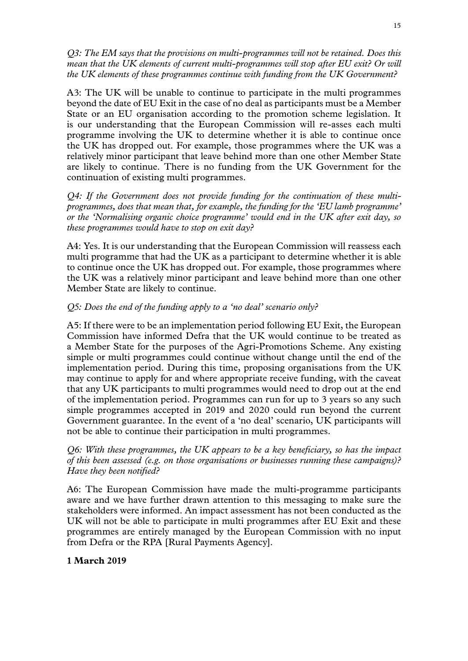*Q3: The EM says that the provisions on multi-programmes will not be retained. Does this mean that the UK elements of current multi-programmes will stop after EU exit? Or will the UK elements of these programmes continue with funding from the UK Government?*

A3: The UK will be unable to continue to participate in the multi programmes beyond the date of EU Exit in the case of no deal as participants must be a Member State or an EU organisation according to the promotion scheme legislation. It is our understanding that the European Commission will re-asses each multi programme involving the UK to determine whether it is able to continue once the UK has dropped out. For example, those programmes where the UK was a relatively minor participant that leave behind more than one other Member State are likely to continue. There is no funding from the UK Government for the continuation of existing multi programmes.

*Q4: If the Government does not provide funding for the continuation of these multiprogrammes, does that mean that, for example, the funding for the 'EU lamb programme' or the 'Normalising organic choice programme' would end in the UK after exit day, so these programmes would have to stop on exit day?*

A4: Yes. It is our understanding that the European Commission will reassess each multi programme that had the UK as a participant to determine whether it is able to continue once the UK has dropped out. For example, those programmes where the UK was a relatively minor participant and leave behind more than one other Member State are likely to continue.

#### *Q5: Does the end of the funding apply to a 'no deal' scenario only?*

A5: If there were to be an implementation period following EU Exit, the European Commission have informed Defra that the UK would continue to be treated as a Member State for the purposes of the Agri-Promotions Scheme. Any existing simple or multi programmes could continue without change until the end of the implementation period. During this time, proposing organisations from the UK may continue to apply for and where appropriate receive funding, with the caveat that any UK participants to multi programmes would need to drop out at the end of the implementation period. Programmes can run for up to 3 years so any such simple programmes accepted in 2019 and 2020 could run beyond the current Government guarantee. In the event of a 'no deal' scenario, UK participants will not be able to continue their participation in multi programmes.

*Q6: With these programmes, the UK appears to be a key beneficiary, so has the impact of this been assessed (e.g. on those organisations or businesses running these campaigns)? Have they been notified?* 

A6: The European Commission have made the multi-programme participants aware and we have further drawn attention to this messaging to make sure the stakeholders were informed. An impact assessment has not been conducted as the UK will not be able to participate in multi programmes after EU Exit and these programmes are entirely managed by the European Commission with no input from Defra or the RPA [Rural Payments Agency].

#### **1 March 2019**